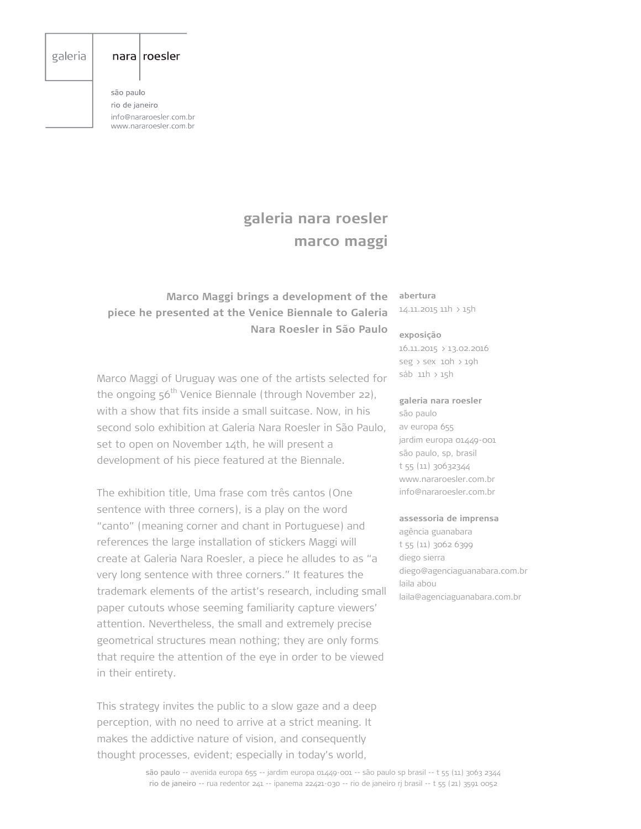# galeria

## $nara|roesler$

são paulo rio de janeiro info@nararoesler.com.br www.nararoesler.com.br

# **galeria nara roesler marco maggi**

# **Marco Maggi brings a development of the piece he presented at the Venice Biennale to Galeria Nara Roesler in São Paulo**

Marco Maggi of Uruguay was one of the artists selected for the ongoing  $56<sup>th</sup>$  Venice Biennale (through November 22), with a show that fits inside a small suitcase. Now, in his second solo exhibition at Galeria Nara Roesler in São Paulo, set to open on November 14th, he will present a development of his piece featured at the Biennale.

The exhibition title, Uma frase com três cantos (One sentence with three corners), is a play on the word "canto" (meaning corner and chant in Portuguese) and references the large installation of stickers Maggi will create at Galeria Nara Roesler, a piece he alludes to as "a very long sentence with three corners." It features the trademark elements of the artist's research, including small paper cutouts whose seeming familiarity capture viewers' attention. Nevertheless, the small and extremely precise geometrical structures mean nothing; they are only forms that require the attention of the eye in order to be viewed in their entirety.

This strategy invites the public to a slow gaze and a deep perception, with no need to arrive at a strict meaning. It makes the addictive nature of vision, and consequently thought processes, evident; especially in today's world,

### **abertura** 14.11.2015 11h > 15h

#### **exposição**

16.11.2015 > 13.02.2016 seg > sex 10h > 19h sáb 11h > 15h

#### **galeria nara roesler**

são paulo av europa 655 jardim europa 01449-001 são paulo, sp, brasil t 55 (11) 30632344 www.nararoesler.com.br info@nararoesler.com.br

# **assessoria de imprensa**

agência guanabara t 55 (11) 3062 6399 diego sierra diego@agenciaguanabara.com.br laila abou laila@agenciaguanabara.com.br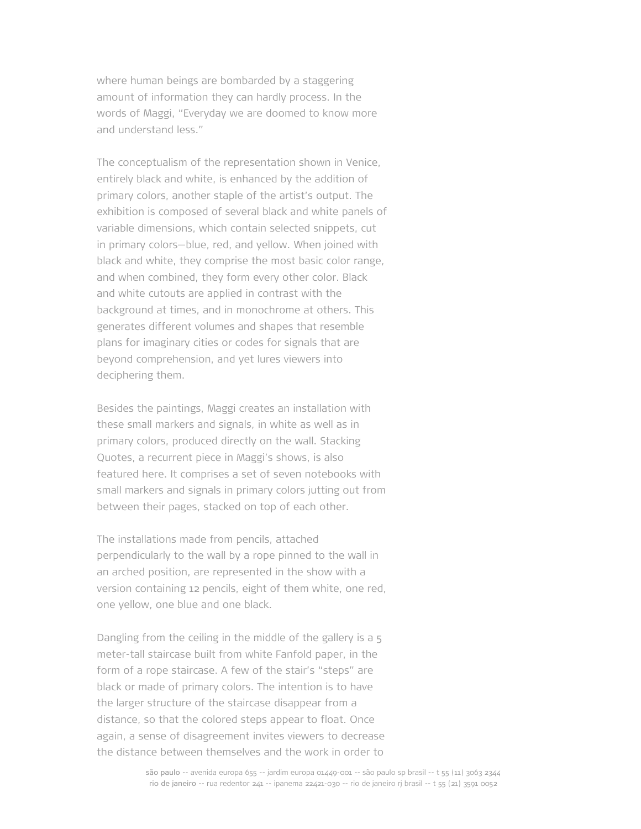where human beings are bombarded by a staggering amount of information they can hardly process. In the words of Maggi, "Everyday we are doomed to know more and understand less."

The conceptualism of the representation shown in Venice, entirely black and white, is enhanced by the addition of primary colors, another staple of the artist's output. The exhibition is composed of several black and white panels of variable dimensions, which contain selected snippets, cut in primary colors—blue, red, and yellow. When joined with black and white, they comprise the most basic color range, and when combined, they form every other color. Black and white cutouts are applied in contrast with the background at times, and in monochrome at others. This generates different volumes and shapes that resemble plans for imaginary cities or codes for signals that are beyond comprehension, and yet lures viewers into deciphering them.

Besides the paintings, Maggi creates an installation with these small markers and signals, in white as well as in primary colors, produced directly on the wall. Stacking Quotes, a recurrent piece in Maggi's shows, is also featured here. It comprises a set of seven notebooks with small markers and signals in primary colors jutting out from between their pages, stacked on top of each other.

The installations made from pencils, attached perpendicularly to the wall by a rope pinned to the wall in an arched position, are represented in the show with a version containing 12 pencils, eight of them white, one red, one yellow, one blue and one black.

Dangling from the ceiling in the middle of the gallery is a 5 meter-tall staircase built from white Fanfold paper, in the form of a rope staircase. A few of the stair's "steps" are black or made of primary colors. The intention is to have the larger structure of the staircase disappear from a distance, so that the colored steps appear to float. Once again, a sense of disagreement invites viewers to decrease the distance between themselves and the work in order to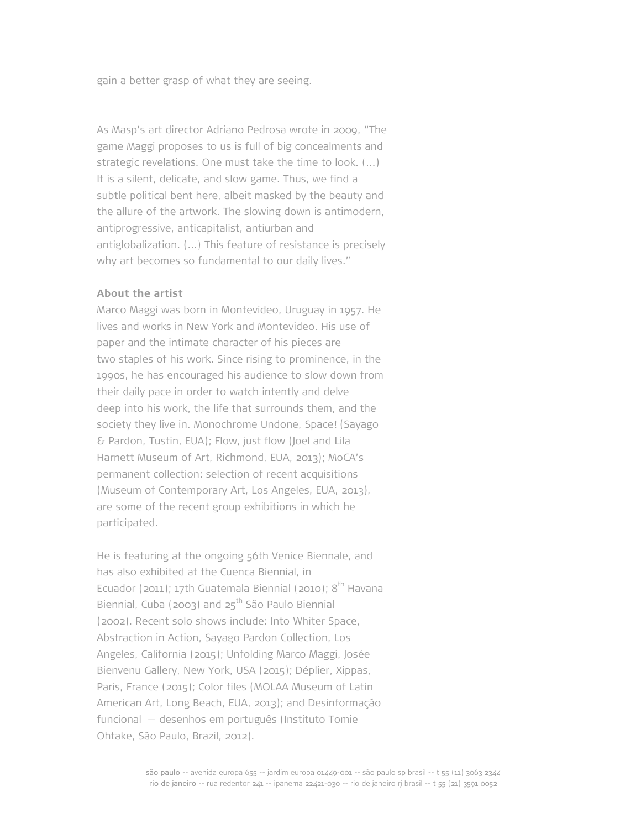gain a better grasp of what they are seeing.

As Masp's art director Adriano Pedrosa wrote in 2009, "The game Maggi proposes to us is full of big concealments and strategic revelations. One must take the time to look. (...) It is a silent, delicate, and slow game. Thus, we find a subtle political bent here, albeit masked by the beauty and the allure of the artwork. The slowing down is antimodern, antiprogressive, anticapitalist, antiurban and antiglobalization. (...) This feature of resistance is precisely why art becomes so fundamental to our daily lives."

# **About the artist**

Marco Maggi was born in Montevideo, Uruguay in 1957. He lives and works in New York and Montevideo. His use of paper and the intimate character of his pieces are two staples of his work. Since rising to prominence, in the 1990s, he has encouraged his audience to slow down from their daily pace in order to watch intently and delve deep into his work, the life that surrounds them, and the society they live in. Monochrome Undone, Space! (Sayago & Pardon, Tustin, EUA); Flow, just flow (Joel and Lila Harnett Museum of Art, Richmond, EUA, 2013); MoCA's permanent collection: selection of recent acquisitions (Museum of Contemporary Art, Los Angeles, EUA, 2013), are some of the recent group exhibitions in which he participated.

He is featuring at the ongoing 56th Venice Biennale, and has also exhibited at the Cuenca Biennial, in Ecuador (2011); 17th Guatemala Biennial (2010);  $8<sup>th</sup>$  Havana Biennial, Cuba (2003) and  $25<sup>th</sup>$  São Paulo Biennial (2002). Recent solo shows include: Into Whiter Space, Abstraction in Action, Sayago Pardon Collection, Los Angeles, California (2015); Unfolding Marco Maggi, Josée Bienvenu Gallery, New York, USA (2015); Déplier, Xippas, Paris, France (2015); Color files (MOLAA Museum of Latin American Art, Long Beach, EUA, 2013); and Desinformação funcional — desenhos em português (Instituto Tomie Ohtake, São Paulo, Brazil, 2012).